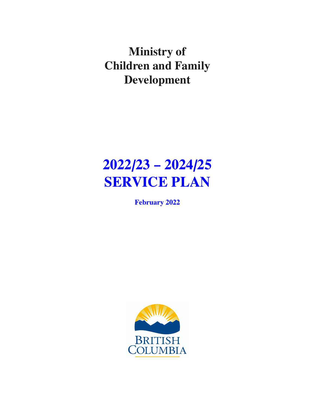**Ministry of Children and Family Development**

# **2022/23 – 2024/25 SERVICE PLAN**

**February 2022**

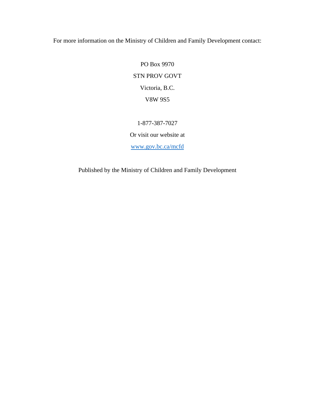For more information on the Ministry of Children and Family Development contact:

PO Box 9970 STN PROV GOVT Victoria, B.C. V8W 9S5

1-877-387-7027

Or visit our website at

[www.gov.bc.ca/mcfd](http://www.gov.bc.ca/mcfd)

Published by the Ministry of Children and Family Development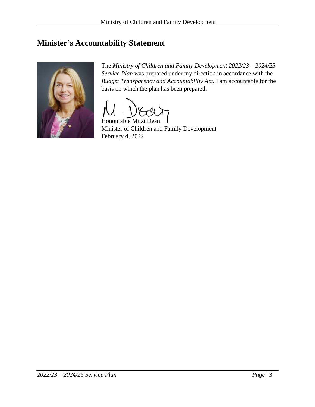## <span id="page-2-0"></span>**Minister's Accountability Statement**



The *Ministry of Children and Family Development 2022/23 – 2024/25 Service Plan* was prepared under my direction in accordance with the *Budget Transparency and Accountability Act*. I am accountable for the basis on which the plan has been prepared.

Honourable Mitzi Dean Minister of Children and Family Development February 4, 2022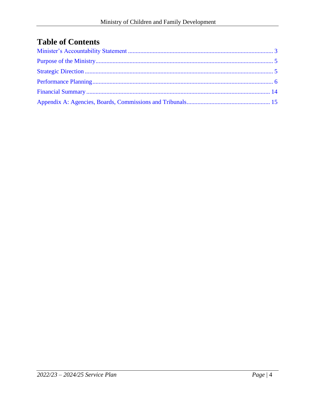# **Table of Contents**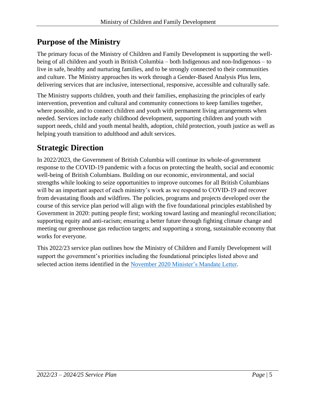## <span id="page-4-0"></span>**Purpose of the Ministry**

The primary focus of the Ministry of Children and Family Development is supporting the wellbeing of all children and youth in British Columbia – both Indigenous and non-Indigenous – to live in safe, healthy and nurturing families, and to be strongly connected to their communities and culture. The Ministry approaches its work through a Gender-Based Analysis Plus lens, delivering services that are inclusive, intersectional, responsive, accessible and culturally safe.

The Ministry supports children, youth and their families, emphasizing the principles of early intervention, prevention and cultural and community connections to keep families together, where possible, and to connect children and youth with permanent living arrangements when needed. Services include early childhood development, supporting children and youth with support needs, child and youth mental health, adoption, child protection, youth justice as well as helping youth transition to adulthood and adult services.

# <span id="page-4-1"></span>**Strategic Direction**

In 2022/2023, the Government of British Columbia will continue its whole-of-government response to the COVID-19 pandemic with a focus on protecting the health, social and economic well-being of British Columbians. Building on our economic, environmental, and social strengths while looking to seize opportunities to improve outcomes for all British Columbians will be an important aspect of each ministry's work as we respond to COVID-19 and recover from devastating floods and wildfires. The policies, programs and projects developed over the course of this service plan period will align with the five foundational principles established by Government in 2020: putting people first; working toward lasting and meaningful reconciliation; supporting equity and anti-racism; ensuring a better future through fighting climate change and meeting our greenhouse gas reduction targets; and supporting a strong, sustainable economy that works for everyone.

This 2022/23 service plan outlines how the Ministry of Children and Family Development will support the government's priorities including the foundational principles listed above and selected action items identified in the November 2020 [Minister's Mandate Letter.](https://news.gov.bc.ca/files/MCFD-Dean-mandate.pdf)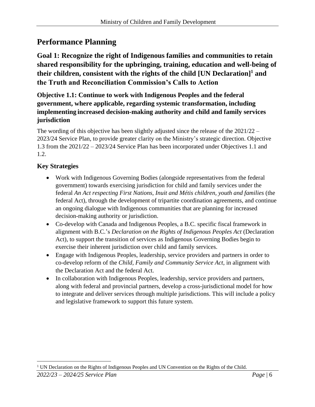## <span id="page-5-0"></span>**Performance Planning**

**Goal 1: Recognize the right of Indigenous families and communities to retain shared responsibility for the upbringing, training, education and well-being of their children, consistent with the rights of the child [UN Declaration] 1 and the Truth and Reconciliation Commission's Calls to Action**

**Objective 1.1: Continue to work with Indigenous Peoples and the federal government, where applicable, regarding systemic transformation, including implementing increased decision-making authority and child and family services jurisdiction**

The wording of this objective has been slightly adjusted since the release of the  $2021/22 -$ 2023/24 Service Plan, to provide greater clarity on the Ministry's strategic direction. Objective 1.3 from the 2021/22 – 2023/24 Service Plan has been incorporated under Objectives 1.1 and 1.2.

#### **Key Strategies**

- Work with Indigenous Governing Bodies (alongside representatives from the federal government) towards exercising jurisdiction for child and family services under the federal *An Act respecting First Nations, Inuit and Métis children, youth and families* (the federal Act), through the development of tripartite coordination agreements, and continue an ongoing dialogue with Indigenous communities that are planning for increased decision-making authority or jurisdiction.
- Co-develop with Canada and Indigenous Peoples, a B.C. specific fiscal framework in alignment with B.C.'s *Declaration on the Rights of Indigenous Peoples Act* (Declaration Act), to support the transition of services as Indigenous Governing Bodies begin to exercise their inherent jurisdiction over child and family services.
- Engage with Indigenous Peoples, leadership, service providers and partners in order to co-develop reform of the *Child, Family and Community Service Act*, in alignment with the Declaration Act and the federal Act.
- In collaboration with Indigenous Peoples, leadership, service providers and partners, along with federal and provincial partners, develop a cross-jurisdictional model for how to integrate and deliver services through multiple jurisdictions. This will include a policy and legislative framework to support this future system.

<sup>&</sup>lt;sup>1</sup> UN Declaration on the Rights of Indigenous Peoples and UN Convention on the Rights of the Child.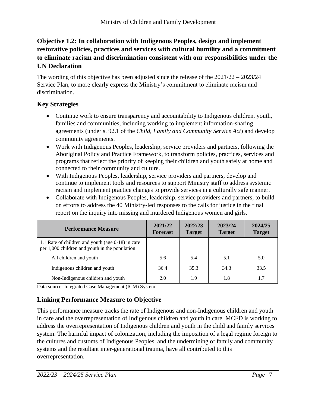#### **Objective 1.2: In collaboration with Indigenous Peoples, design and implement restorative policies, practices and services with cultural humility and a commitment to eliminate racism and discrimination consistent with our responsibilities under the UN Declaration**

The wording of this objective has been adjusted since the release of the 2021/22 – 2023/24 Service Plan, to more clearly express the Ministry's commitment to eliminate racism and discrimination.

#### **Key Strategies**

- Continue work to ensure transparency and accountability to Indigenous children, youth, families and communities, including working to implement information-sharing agreements (under s. 92.1 of the *Child, Family and Community Service Act*) and develop community agreements.
- Work with Indigenous Peoples, leadership, service providers and partners, following the Aboriginal Policy and Practice Framework, to transform policies, practices, services and programs that reflect the priority of keeping their children and youth safely at home and connected to their community and culture.
- With Indigenous Peoples, leadership, service providers and partners, develop and continue to implement tools and resources to support Ministry staff to address systemic racism and implement practice changes to provide services in a culturally safe manner.
- Collaborate with Indigenous Peoples, leadership, service providers and partners, to build on efforts to address the 40 Ministry-led responses to the calls for justice in the final report on the inquiry into missing and murdered Indigenous women and girls.

| <b>Performance Measure</b>                                                                          | 2021/22<br><b>Forecast</b> | 2022/23<br><b>Target</b> | 2023/24<br><b>Target</b> | 2024/25<br><b>Target</b> |
|-----------------------------------------------------------------------------------------------------|----------------------------|--------------------------|--------------------------|--------------------------|
| 1.1 Rate of children and youth (age 0-18) in care<br>per 1,000 children and youth in the population |                            |                          |                          |                          |
| All children and youth                                                                              | 5.6                        | 5.4                      | 5.1                      | 5.0                      |
| Indigenous children and youth                                                                       | 36.4                       | 35.3                     | 34.3                     | 33.5                     |
| Non-Indigenous children and youth                                                                   | 2.0                        | 1.9                      | 1.8                      | 1.7                      |

Data source: Integrated Case Management (ICM) System

## **Linking Performance Measure to Objective**

This performance measure tracks the rate of Indigenous and non-Indigenous children and youth in care and the overrepresentation of Indigenous children and youth in care. MCFD is working to address the overrepresentation of Indigenous children and youth in the child and family services system. The harmful impact of colonization, including the imposition of a legal regime foreign to the cultures and customs of Indigenous Peoples, and the undermining of family and community systems and the resultant inter-generational trauma, have all contributed to this overrepresentation.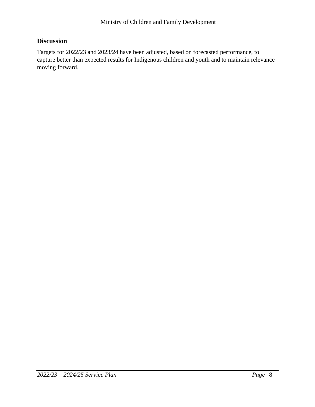#### **Discussion**

Targets for 2022/23 and 2023/24 have been adjusted, based on forecasted performance, to capture better than expected results for Indigenous children and youth and to maintain relevance moving forward.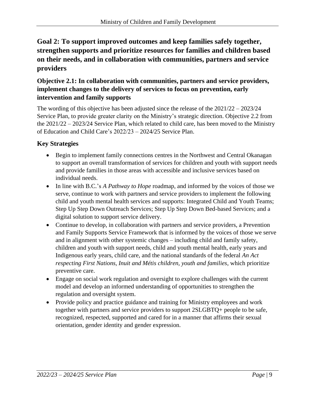## **Goal 2: To support improved outcomes and keep families safely together, strengthen supports and prioritize resources for families and children based on their needs, and in collaboration with communities, partners and service providers**

#### **Objective 2.1: In collaboration with communities, partners and service providers, implement changes to the delivery of services to focus on prevention, early intervention and family supports**

The wording of this objective has been adjusted since the release of the 2021/22 – 2023/24 Service Plan, to provide greater clarity on the Ministry's strategic direction. Objective 2.2 from the 2021/22 – 2023/24 Service Plan, which related to child care, has been moved to the Ministry of Education and Child Care's 2022/23 – 2024/25 Service Plan.

## **Key Strategies**

- Begin to implement family connections centres in the Northwest and Central Okanagan to support an overall transformation of services for children and youth with support needs and provide families in those areas with accessible and inclusive services based on individual needs.
- In line with B.C.'s *A Pathway to Hope* roadmap, and informed by the voices of those we serve, continue to work with partners and service providers to implement the following child and youth mental health services and supports: Integrated Child and Youth Teams; Step Up Step Down Outreach Services; Step Up Step Down Bed-based Services; and a digital solution to support service delivery.
- Continue to develop, in collaboration with partners and service providers, a Prevention and Family Supports Service Framework that is informed by the voices of those we serve and in alignment with other systemic changes – including child and family safety, children and youth with support needs, child and youth mental health, early years and Indigenous early years, child care, and the national standards of the federal *An Act respecting First Nations, Inuit and Métis children, youth and families*, which prioritize preventive care.
- Engage on social work regulation and oversight to explore challenges with the current model and develop an informed understanding of opportunities to strengthen the regulation and oversight system.
- Provide policy and practice guidance and training for Ministry employees and work together with partners and service providers to support 2SLGBTQ+ people to be safe, recognized, respected, supported and cared for in a manner that affirms their sexual orientation, gender identity and gender expression.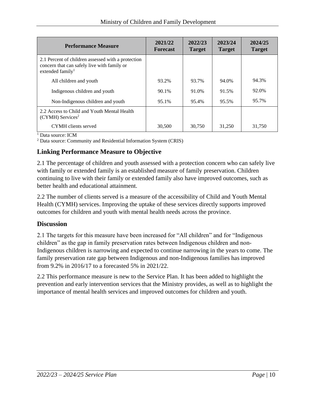| <b>Performance Measure</b>                                                                                                        | 2021/22<br><b>Forecast</b> | 2022/23<br><b>Target</b> | 2023/24<br><b>Target</b> | 2024/25<br><b>Target</b> |
|-----------------------------------------------------------------------------------------------------------------------------------|----------------------------|--------------------------|--------------------------|--------------------------|
| 2.1 Percent of children assessed with a protection<br>concern that can safely live with family or<br>extended family <sup>1</sup> |                            |                          |                          |                          |
| All children and youth                                                                                                            | 93.2%                      | 93.7%                    | 94.0%                    | 94.3%                    |
| Indigenous children and youth                                                                                                     | 90.1%                      | 91.0%                    | 91.5%                    | 92.0%                    |
| Non-Indigenous children and youth                                                                                                 | 95.1%                      | 95.4%                    | 95.5%                    | 95.7%                    |
| 2.2 Access to Child and Youth Mental Health<br>$(CYMH)$ Services <sup>2</sup>                                                     |                            |                          |                          |                          |
| CYMH clients served                                                                                                               | 30,500                     | 30,750                   | 31,250                   | 31,750                   |

 $\overline{1}$  Data source: ICM

<sup>2</sup> Data source: Community and Residential Information System (CRIS)

#### **Linking Performance Measure to Objective**

2.1 The percentage of children and youth assessed with a protection concern who can safely live with family or extended family is an established measure of family preservation. Children continuing to live with their family or extended family also have improved outcomes, such as better health and educational attainment.

2.2 The number of clients served is a measure of the accessibility of Child and Youth Mental Health (CYMH) services. Improving the uptake of these services directly supports improved outcomes for children and youth with mental health needs across the province.

#### **Discussion**

2.1 The targets for this measure have been increased for "All children" and for "Indigenous children" as the gap in family preservation rates between Indigenous children and non-Indigenous children is narrowing and expected to continue narrowing in the years to come. The family preservation rate gap between Indigenous and non-Indigenous families has improved from 9.2% in 2016/17 to a forecasted 5% in 2021/22.

2.2 This performance measure is new to the Service Plan. It has been added to highlight the prevention and early intervention services that the Ministry provides, as well as to highlight the importance of mental health services and improved outcomes for children and youth.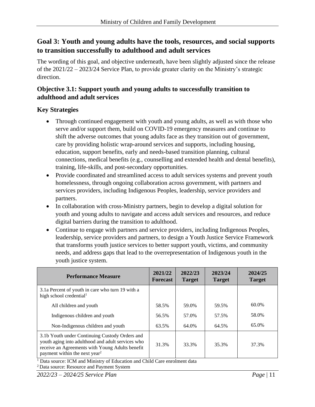#### **Goal 3: Youth and young adults have the tools, resources, and social supports to transition successfully to adulthood and adult services**

The wording of this goal, and objective underneath, have been slightly adjusted since the release of the 2021/22 – 2023/24 Service Plan, to provide greater clarity on the Ministry's strategic direction.

#### **Objective 3.1: Support youth and young adults to successfully transition to adulthood and adult services**

#### **Key Strategies**

- Through continued engagement with youth and young adults, as well as with those who serve and/or support them, build on COVID-19 emergency measures and continue to shift the adverse outcomes that young adults face as they transition out of government, care by providing holistic wrap-around services and supports, including housing, education, support benefits, early and needs-based transition planning, cultural connections, medical benefits (e.g., counselling and extended health and dental benefits), training, life-skills, and post-secondary opportunities.
- Provide coordinated and streamlined access to adult services systems and prevent youth homelessness, through ongoing collaboration across government, with partners and services providers, including Indigenous Peoples, leadership, service providers and partners.
- In collaboration with cross-Ministry partners, begin to develop a digital solution for youth and young adults to navigate and access adult services and resources, and reduce digital barriers during the transition to adulthood.
- Continue to engage with partners and service providers, including Indigenous Peoples, leadership, service providers and partners, to design a Youth Justice Service Framework that transforms youth justice services to better support youth, victims, and community needs, and address gaps that lead to the overrepresentation of Indigenous youth in the youth justice system.

| <b>Performance Measure</b>                                                                                                                                                                          | 2021/22<br><b>Forecast</b> | 2022/23<br><b>Target</b> | 2023/24<br><b>Target</b> | 2024/25<br><b>Target</b> |
|-----------------------------------------------------------------------------------------------------------------------------------------------------------------------------------------------------|----------------------------|--------------------------|--------------------------|--------------------------|
| 3.1a Percent of youth in care who turn 19 with a<br>high school credential <sup>1</sup>                                                                                                             |                            |                          |                          |                          |
| All children and youth                                                                                                                                                                              | 58.5%                      | 59.0%                    | 59.5%                    | 60.0%                    |
| Indigenous children and youth                                                                                                                                                                       | 56.5%                      | 57.0%                    | 57.5%                    | 58.0%                    |
| Non-Indigenous children and youth                                                                                                                                                                   | 63.5%                      | 64.0%                    | 64.5%                    | 65.0%                    |
| 3.1b Youth under Continuing Custody Orders and<br>youth aging into adulthood and adult services who<br>receive an Agreements with Young Adults benefit<br>payment within the next year <sup>2</sup> | 31.3%                      | 33.3%                    | 35.3%                    | 37.3%                    |

<sup>1</sup> Data source: ICM and Ministry of Education and Child Care enrolment data

2 Data source: Resource and Payment System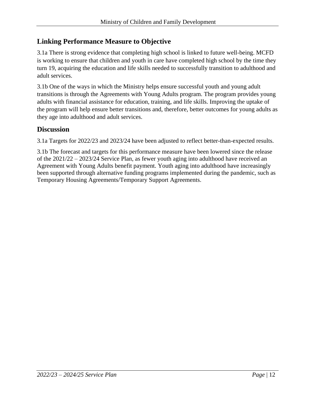#### **Linking Performance Measure to Objective**

3.1a There is strong evidence that completing high school is linked to future well-being. MCFD is working to ensure that children and youth in care have completed high school by the time they turn 19, acquiring the education and life skills needed to successfully transition to adulthood and adult services.

3.1b One of the ways in which the Ministry helps ensure successful youth and young adult transitions is through the Agreements with Young Adults program. The program provides young adults with financial assistance for education, training, and life skills. Improving the uptake of the program will help ensure better transitions and, therefore, better outcomes for young adults as they age into adulthood and adult services.

#### **Discussion**

3.1a Targets for 2022/23 and 2023/24 have been adjusted to reflect better-than-expected results.

3.1b The forecast and targets for this performance measure have been lowered since the release of the 2021/22 – 2023/24 Service Plan, as fewer youth aging into adulthood have received an Agreement with Young Adults benefit payment. Youth aging into adulthood have increasingly been supported through alternative funding programs implemented during the pandemic, such as Temporary Housing Agreements/Temporary Support Agreements.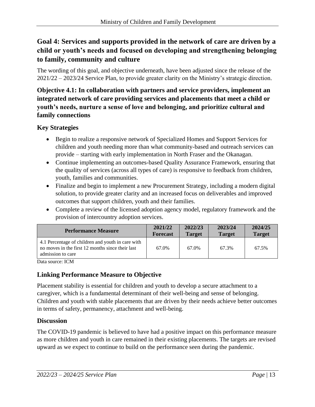## **Goal 4: Services and supports provided in the network of care are driven by a child or youth's needs and focused on developing and strengthening belonging to family, community and culture**

The wording of this goal, and objective underneath, have been adjusted since the release of the 2021/22 – 2023/24 Service Plan, to provide greater clarity on the Ministry's strategic direction.

#### **Objective 4.1: In collaboration with partners and service providers, implement an integrated network of care providing services and placements that meet a child or youth's needs, nurture a sense of love and belonging, and prioritize cultural and family connections**

#### **Key Strategies**

- Begin to realize a responsive network of Specialized Homes and Support Services for children and youth needing more than what community-based and outreach services can provide – starting with early implementation in North Fraser and the Okanagan.
- Continue implementing an outcomes-based Quality Assurance Framework, ensuring that the quality of services (across all types of care) is responsive to feedback from children, youth, families and communities.
- Finalize and begin to implement a new Procurement Strategy, including a modern digital solution, to provide greater clarity and an increased focus on deliverables and improved outcomes that support children, youth and their families.
- Complete a review of the licensed adoption agency model, regulatory framework and the provision of intercountry adoption services.

| <b>Performance Measure</b>                                                                                                 | 2021/22         | 2022/23       | 2023/24       | 2024/25       |
|----------------------------------------------------------------------------------------------------------------------------|-----------------|---------------|---------------|---------------|
|                                                                                                                            | <b>Forecast</b> | <b>Target</b> | <b>Target</b> | <b>Target</b> |
| 4.1 Percentage of children and youth in care with<br>no moves in the first 12 months since their last<br>admission to care | 67.0%           | 67.0%         | 67.3%         | 67.5%         |

Data source: ICM

#### **Linking Performance Measure to Objective**

Placement stability is essential for children and youth to develop a secure attachment to a caregiver, which is a fundamental determinant of their well-being and sense of belonging. Children and youth with stable placements that are driven by their needs achieve better outcomes in terms of safety, permanency, attachment and well-being.

#### **Discussion**

The COVID-19 pandemic is believed to have had a positive impact on this performance measure as more children and youth in care remained in their existing placements. The targets are revised upward as we expect to continue to build on the performance seen during the pandemic.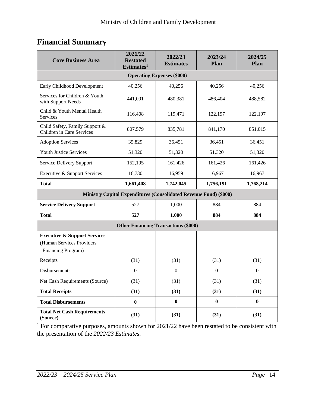## <span id="page-13-0"></span>**Financial Summary**

| <b>Core Business Area</b>                                                                  | 2021/22<br><b>Restated</b><br>Estimates <sup>1</sup> | 2022/23<br><b>Estimates</b> | 2023/24<br>Plan | 2024/25<br>Plan  |  |  |  |
|--------------------------------------------------------------------------------------------|------------------------------------------------------|-----------------------------|-----------------|------------------|--|--|--|
| <b>Operating Expenses (\$000)</b>                                                          |                                                      |                             |                 |                  |  |  |  |
| Early Childhood Development                                                                | 40,256                                               | 40,256                      | 40,256          | 40,256           |  |  |  |
| Services for Children & Youth<br>with Support Needs                                        | 441,091                                              | 480,381                     | 486,404         | 488,582          |  |  |  |
| Child & Youth Mental Health<br>Services                                                    | 116,408                                              | 119,471                     | 122,197         | 122,197          |  |  |  |
| Child Safety, Family Support &<br>Children in Care Services                                | 807,579                                              | 835,781                     | 841,170         | 851,015          |  |  |  |
| <b>Adoption Services</b>                                                                   | 35,829                                               | 36,451                      | 36,451          | 36,451           |  |  |  |
| Youth Justice Services                                                                     | 51,320                                               | 51,320                      | 51,320          | 51,320           |  |  |  |
| Service Delivery Support                                                                   | 152,195                                              | 161,426                     | 161,426         | 161,426          |  |  |  |
| Executive & Support Services                                                               | 16,730                                               | 16,959                      | 16,967          | 16,967           |  |  |  |
| <b>Total</b>                                                                               | 1,661,408                                            | 1,742,045                   | 1,756,191       | 1,768,214        |  |  |  |
| Ministry Capital Expenditures (Consolidated Revenue Fund) (\$000)                          |                                                      |                             |                 |                  |  |  |  |
| <b>Service Delivery Support</b>                                                            | 527                                                  | 1,000                       | 884             | 884              |  |  |  |
| <b>Total</b>                                                                               | 527                                                  | 1,000                       | 884             | 884              |  |  |  |
| <b>Other Financing Transactions (\$000)</b>                                                |                                                      |                             |                 |                  |  |  |  |
| <b>Executive &amp; Support Services</b><br>(Human Services Providers<br>Financing Program) |                                                      |                             |                 |                  |  |  |  |
| Receipts                                                                                   | (31)                                                 | (31)                        | (31)            | (31)             |  |  |  |
| Disbursements                                                                              | $\boldsymbol{0}$                                     | $\boldsymbol{0}$            | $\overline{0}$  | $\boldsymbol{0}$ |  |  |  |
| Net Cash Requirements (Source)                                                             | (31)                                                 | (31)                        | (31)            | (31)             |  |  |  |
| <b>Total Receipts</b>                                                                      | (31)                                                 | (31)                        | (31)            | (31)             |  |  |  |
| <b>Total Disbursements</b>                                                                 | $\bf{0}$                                             | $\bf{0}$                    | $\bf{0}$        | $\bf{0}$         |  |  |  |
| <b>Total Net Cash Requirements</b><br>(Source)                                             | (31)                                                 | (31)                        | (31)            | (31)             |  |  |  |

<sup>1</sup> For comparative purposes, amounts shown for  $2021/22$  have been restated to be consistent with the presentation of the *2022/23 Estimates*.